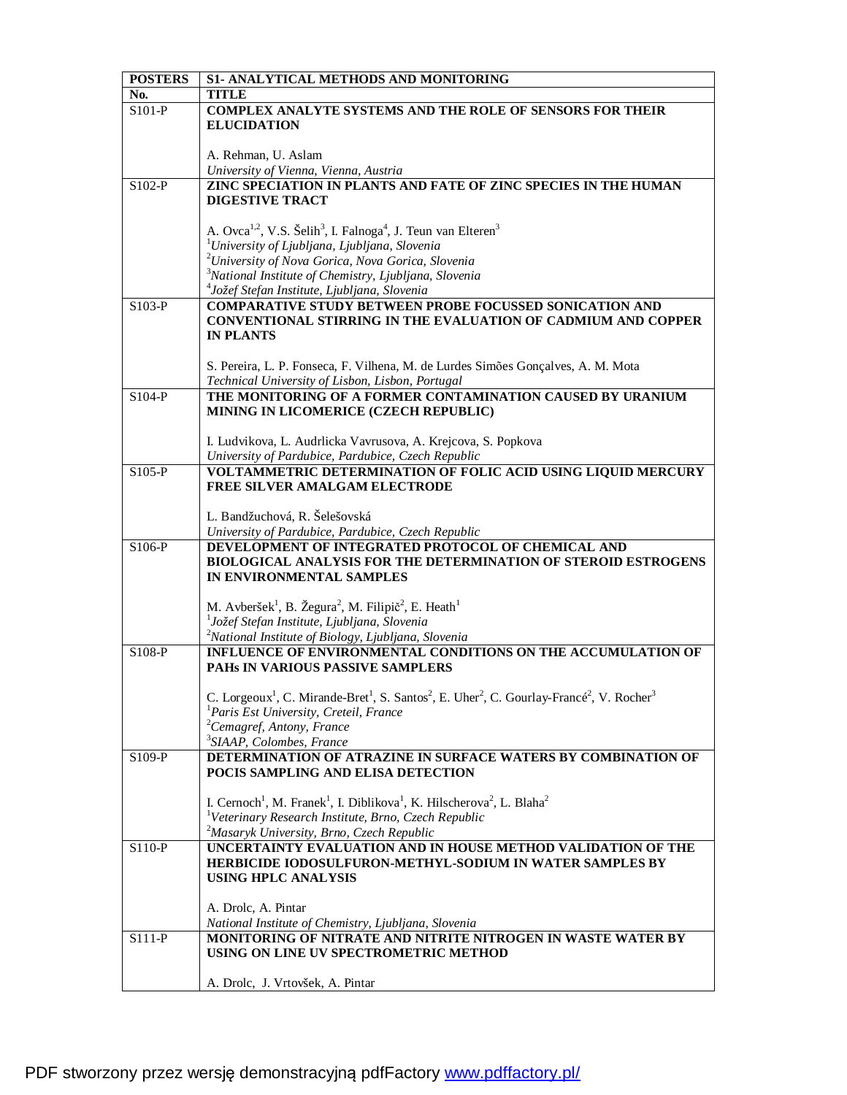| <b>POSTERS</b> | S1- ANALYTICAL METHODS AND MONITORING                                                                                                                             |
|----------------|-------------------------------------------------------------------------------------------------------------------------------------------------------------------|
| No.            | <b>TITLE</b>                                                                                                                                                      |
| S101-P         | <b>COMPLEX ANALYTE SYSTEMS AND THE ROLE OF SENSORS FOR THEIR</b>                                                                                                  |
|                | <b>ELUCIDATION</b>                                                                                                                                                |
|                |                                                                                                                                                                   |
|                | A. Rehman, U. Aslam                                                                                                                                               |
|                | University of Vienna, Vienna, Austria                                                                                                                             |
| $S102-P$       | ZINC SPECIATION IN PLANTS AND FATE OF ZINC SPECIES IN THE HUMAN                                                                                                   |
|                | <b>DIGESTIVE TRACT</b>                                                                                                                                            |
|                |                                                                                                                                                                   |
|                | A. Ovca <sup>1,2</sup> , V.S. Šelih <sup>3</sup> , I. Falnoga <sup>4</sup> , J. Teun van Elteren <sup>3</sup>                                                     |
|                | <sup>1</sup> University of Ljubljana, Ljubljana, Slovenia                                                                                                         |
|                | <sup>2</sup> University of Nova Gorica, Nova Gorica, Slovenia                                                                                                     |
|                | <sup>3</sup> National Institute of Chemistry, Ljubljana, Slovenia                                                                                                 |
|                | <sup>4</sup> Jožef Stefan Institute, Ljubljana, Slovenia                                                                                                          |
| $S103-P$       | <b>COMPARATIVE STUDY BETWEEN PROBE FOCUSSED SONICATION AND</b>                                                                                                    |
|                | <b>CONVENTIONAL STIRRING IN THE EVALUATION OF CADMIUM AND COPPER</b>                                                                                              |
|                | <b>IN PLANTS</b>                                                                                                                                                  |
|                |                                                                                                                                                                   |
|                | S. Pereira, L. P. Fonseca, F. Vilhena, M. de Lurdes Simões Gonçalves, A. M. Mota                                                                                  |
|                | Technical University of Lisbon, Lisbon, Portugal                                                                                                                  |
| $S104-P$       | THE MONITORING OF A FORMER CONTAMINATION CAUSED BY URANIUM                                                                                                        |
|                | MINING IN LICOMERICE (CZECH REPUBLIC)                                                                                                                             |
|                |                                                                                                                                                                   |
|                | I. Ludvikova, L. Audrlicka Vavrusova, A. Krejcova, S. Popkova                                                                                                     |
|                | University of Pardubice, Pardubice, Czech Republic                                                                                                                |
| $S105-P$       | VOLTAMMETRIC DETERMINATION OF FOLIC ACID USING LIQUID MERCURY                                                                                                     |
|                | FREE SILVER AMALGAM ELECTRODE                                                                                                                                     |
|                |                                                                                                                                                                   |
|                | L. Bandžuchová, R. Šelešovská                                                                                                                                     |
|                | University of Pardubice, Pardubice, Czech Republic                                                                                                                |
| $S106-P$       | DEVELOPMENT OF INTEGRATED PROTOCOL OF CHEMICAL AND<br><b>BIOLOGICAL ANALYSIS FOR THE DETERMINATION OF STEROID ESTROGENS</b>                                       |
|                | IN ENVIRONMENTAL SAMPLES                                                                                                                                          |
|                |                                                                                                                                                                   |
|                | M. Avberšek <sup>1</sup> , B. Žegura <sup>2</sup> , M. Filipič <sup>2</sup> , E. Heath <sup>1</sup>                                                               |
|                | <sup>1</sup> Jožef Stefan Institute, Ljubljana, Slovenia                                                                                                          |
|                | <sup>2</sup> National Institute of Biology, Ljubljana, Slovenia                                                                                                   |
| S108-P         | <b>INFLUENCE OF ENVIRONMENTAL CONDITIONS ON THE ACCUMULATION OF</b>                                                                                               |
|                | <b>PAHS IN VARIOUS PASSIVE SAMPLERS</b>                                                                                                                           |
|                |                                                                                                                                                                   |
|                | C. Lorgeoux <sup>1</sup> , C. Mirande-Bret <sup>1</sup> , S. Santos <sup>2</sup> , E. Uher <sup>2</sup> , C. Gourlay-Francé <sup>2</sup> , V. Rocher <sup>3</sup> |
|                | ${}^{1}$ Paris Est University, Creteil, France                                                                                                                    |
|                | <sup>2</sup> Cemagref, Antony, France                                                                                                                             |
|                | <sup>3</sup> SIAAP, Colombes, France                                                                                                                              |
| $S109-P$       | DETERMINATION OF ATRAZINE IN SURFACE WATERS BY COMBINATION OF                                                                                                     |
|                | POCIS SAMPLING AND ELISA DETECTION                                                                                                                                |
|                |                                                                                                                                                                   |
|                | I. Cernoch <sup>1</sup> , M. Franek <sup>1</sup> , I. Diblikova <sup>1</sup> , K. Hilscherova <sup>2</sup> , L. Blaha <sup>2</sup>                                |
|                | <sup>1</sup> Veterinary Research Institute, Brno, Czech Republic                                                                                                  |
|                | <sup>2</sup> Masaryk University, Brno, Czech Republic                                                                                                             |
| $S110-P$       | UNCERTAINTY EVALUATION AND IN HOUSE METHOD VALIDATION OF THE                                                                                                      |
|                | <b>HERBICIDE IODOSULFURON-METHYL-SODIUM IN WATER SAMPLES BY</b><br><b>USING HPLC ANALYSIS</b>                                                                     |
|                |                                                                                                                                                                   |
|                | A. Drolc, A. Pintar                                                                                                                                               |
|                | National Institute of Chemistry, Ljubljana, Slovenia                                                                                                              |
| S111-P         | MONITORING OF NITRATE AND NITRITE NITROGEN IN WASTE WATER BY                                                                                                      |
|                | USING ON LINE UV SPECTROMETRIC METHOD                                                                                                                             |
|                |                                                                                                                                                                   |
|                | A. Drolc, J. Vrtovšek, A. Pintar                                                                                                                                  |
|                |                                                                                                                                                                   |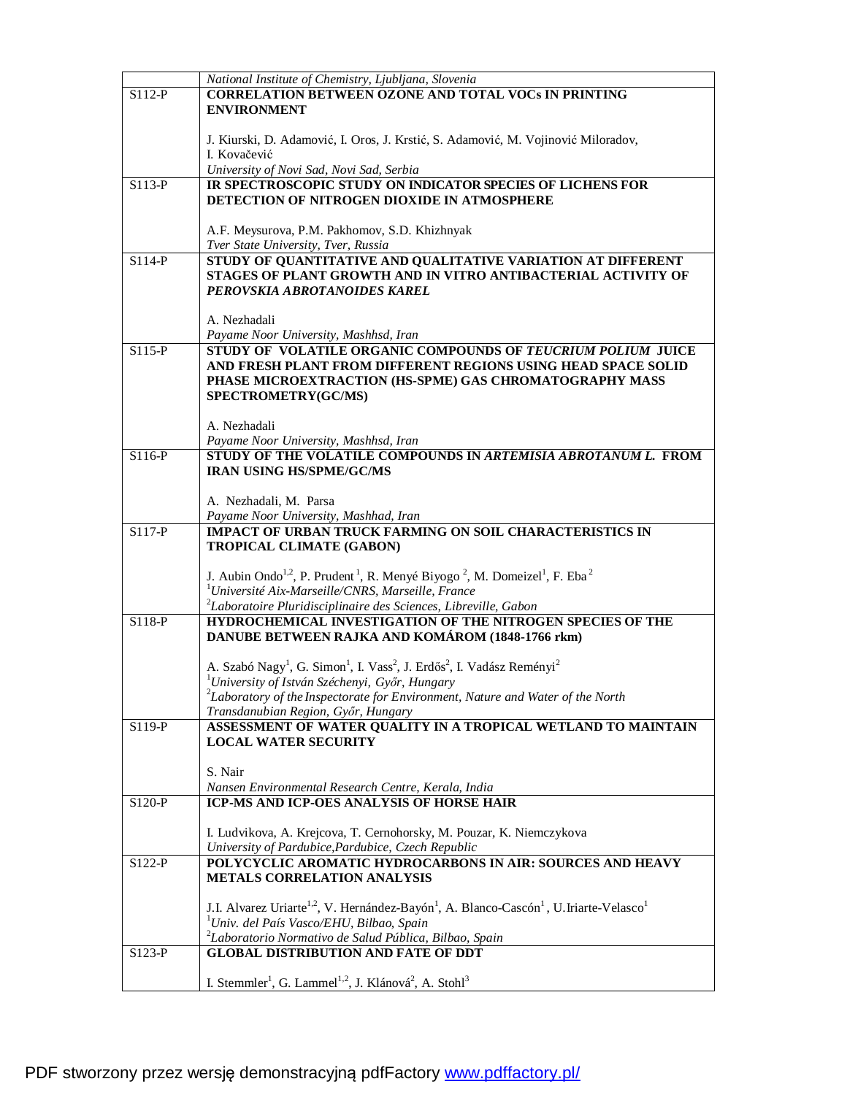|          | National Institute of Chemistry, Ljubljana, Slovenia                                                                                    |
|----------|-----------------------------------------------------------------------------------------------------------------------------------------|
| S112-P   | <b>CORRELATION BETWEEN OZONE AND TOTAL VOCS IN PRINTING</b>                                                                             |
|          | <b>ENVIRONMENT</b>                                                                                                                      |
|          |                                                                                                                                         |
|          |                                                                                                                                         |
|          | J. Kiurski, D. Adamović, I. Oros, J. Krstić, S. Adamović, M. Vojinović Miloradov,                                                       |
|          | I. Kovačević                                                                                                                            |
|          | University of Novi Sad, Novi Sad, Serbia                                                                                                |
| $S113-P$ | IR SPECTROSCOPIC STUDY ON INDICATOR SPECIES OF LICHENS FOR                                                                              |
|          | DETECTION OF NITROGEN DIOXIDE IN ATMOSPHERE                                                                                             |
|          |                                                                                                                                         |
|          | A.F. Meysurova, P.M. Pakhomov, S.D. Khizhnyak                                                                                           |
|          | Tver State University, Tver, Russia                                                                                                     |
| S114-P   | STUDY OF QUANTITATIVE AND QUALITATIVE VARIATION AT DIFFERENT                                                                            |
|          | STAGES OF PLANT GROWTH AND IN VITRO ANTIBACTERIAL ACTIVITY OF                                                                           |
|          | PEROVSKIA ABROTANOIDES KAREL                                                                                                            |
|          |                                                                                                                                         |
|          |                                                                                                                                         |
|          | A. Nezhadali                                                                                                                            |
|          | Payame Noor University, Mashhsd, Iran                                                                                                   |
| $S115-P$ | STUDY OF VOLATILE ORGANIC COMPOUNDS OF TEUCRIUM POLIUM JUICE                                                                            |
|          | AND FRESH PLANT FROM DIFFERENT REGIONS USING HEAD SPACE SOLID                                                                           |
|          | PHASE MICROEXTRACTION (HS-SPME) GAS CHROMATOGRAPHY MASS                                                                                 |
|          | SPECTROMETRY(GC/MS)                                                                                                                     |
|          |                                                                                                                                         |
|          | A. Nezhadali                                                                                                                            |
|          | Payame Noor University, Mashhsd, Iran                                                                                                   |
| S116-P   | STUDY OF THE VOLATILE COMPOUNDS IN ARTEMISIA ABROTANUM L. FROM                                                                          |
|          | <b>IRAN USING HS/SPME/GC/MS</b>                                                                                                         |
|          |                                                                                                                                         |
|          | A. Nezhadali, M. Parsa                                                                                                                  |
|          | Payame Noor University, Mashhad, Iran                                                                                                   |
| S117-P   | IMPACT OF URBAN TRUCK FARMING ON SOIL CHARACTERISTICS IN                                                                                |
|          | TROPICAL CLIMATE (GABON)                                                                                                                |
|          |                                                                                                                                         |
|          | J. Aubin Ondo <sup>1,2</sup> , P. Prudent <sup>1</sup> , R. Menyé Biyogo <sup>2</sup> , M. Domeizel <sup>1</sup> , F. Eba <sup>2</sup>  |
|          |                                                                                                                                         |
|          | <sup>1</sup> Université Aix-Marseille/CNRS, Marseille, France                                                                           |
|          | <sup>2</sup> Laboratoire Pluridisciplinaire des Sciences, Libreville, Gabon                                                             |
| S118-P   | HYDROCHEMICAL INVESTIGATION OF THE NITROGEN SPECIES OF THE                                                                              |
|          | DANUBE BETWEEN RAJKA AND KOMÁROM (1848-1766 rkm)                                                                                        |
|          |                                                                                                                                         |
|          | A. Szabó Nagy <sup>1</sup> , G. Simon <sup>1</sup> , I. Vass <sup>2</sup> , J. Erdős <sup>2</sup> , I. Vadász Reményi <sup>2</sup>      |
|          | <sup>1</sup> University of István Széchenyi, Győr, Hungary                                                                              |
|          | ${}^{2}$ Laboratory of the Inspectorate for Environment, Nature and Water of the North                                                  |
|          | Transdanubian Region, Győr, Hungary                                                                                                     |
| S119-P   | ASSESSMENT OF WATER QUALITY IN A TROPICAL WETLAND TO MAINTAIN                                                                           |
|          | <b>LOCAL WATER SECURITY</b>                                                                                                             |
|          |                                                                                                                                         |
|          | S. Nair                                                                                                                                 |
|          | Nansen Environmental Research Centre, Kerala, India                                                                                     |
| S120-P   | ICP-MS AND ICP-OES ANALYSIS OF HORSE HAIR                                                                                               |
|          |                                                                                                                                         |
|          | I. Ludvikova, A. Krejcova, T. Cernohorsky, M. Pouzar, K. Niemczykova                                                                    |
|          | University of Pardubice, Pardubice, Czech Republic                                                                                      |
| S122-P   | POLYCYCLIC AROMATIC HYDROCARBONS IN AIR: SOURCES AND HEAVY                                                                              |
|          | <b>METALS CORRELATION ANALYSIS</b>                                                                                                      |
|          |                                                                                                                                         |
|          |                                                                                                                                         |
|          | J.I. Alvarez Uriarte <sup>1,2</sup> , V. Hernández-Bayón <sup>1</sup> , A. Blanco-Cascón <sup>1</sup> , U. Iriarte-Velasco <sup>1</sup> |
|          | <sup>1</sup> Univ. del País Vasco/EHU, Bilbao, Spain                                                                                    |
|          | <sup>2</sup> Laboratorio Normativo de Salud Pública, Bilbao, Spain                                                                      |
| S123-P   | <b>GLOBAL DISTRIBUTION AND FATE OF DDT</b>                                                                                              |
|          |                                                                                                                                         |
|          | I. Stemmler <sup>1</sup> , G. Lammel <sup>1,2</sup> , J. Klánová <sup>2</sup> , A. Stohl <sup>3</sup>                                   |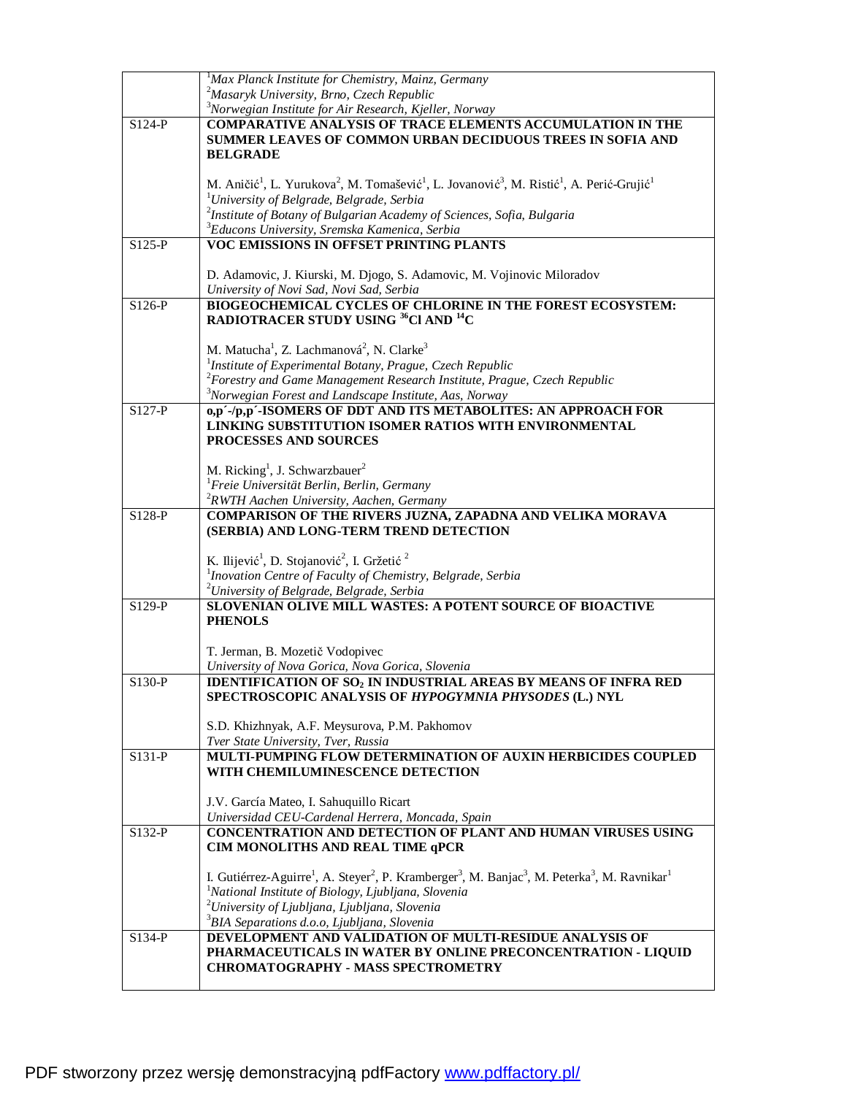|        | $1$ Max Planck Institute for Chemistry, Mainz, Germany                                                                                                                |
|--------|-----------------------------------------------------------------------------------------------------------------------------------------------------------------------|
|        | <sup>2</sup> Masaryk University, Brno, Czech Republic                                                                                                                 |
|        | <sup>3</sup> Norwegian Institute for Air Research, Kjeller, Norway                                                                                                    |
| S124-P | <b>COMPARATIVE ANALYSIS OF TRACE ELEMENTS ACCUMULATION IN THE</b>                                                                                                     |
|        | <b>SUMMER LEAVES OF COMMON URBAN DECIDUOUS TREES IN SOFIA AND</b>                                                                                                     |
|        |                                                                                                                                                                       |
|        | <b>BELGRADE</b>                                                                                                                                                       |
|        |                                                                                                                                                                       |
|        | M. Aničić <sup>1</sup> , L. Yurukova <sup>2</sup> , M. Tomašević <sup>1</sup> , L. Jovanović <sup>3</sup> , M. Ristić <sup>1</sup> , A. Perić-Grujić <sup>1</sup>     |
|        | <sup>1</sup> University of Belgrade, Belgrade, Serbia                                                                                                                 |
|        | $2$ Institute of Botany of Bulgarian Academy of Sciences, Sofia, Bulgaria                                                                                             |
|        | <sup>3</sup> Educons University, Sremska Kamenica, Serbia                                                                                                             |
|        |                                                                                                                                                                       |
| S125-P | VOC EMISSIONS IN OFFSET PRINTING PLANTS                                                                                                                               |
|        |                                                                                                                                                                       |
|        | D. Adamovic, J. Kiurski, M. Djogo, S. Adamovic, M. Vojinovic Miloradov                                                                                                |
|        | University of Novi Sad, Novi Sad, Serbia                                                                                                                              |
| S126-P | <b>BIOGEOCHEMICAL CYCLES OF CHLORINE IN THE FOREST ECOSYSTEM:</b>                                                                                                     |
|        | RADIOTRACER STUDY USING <sup>36</sup> Cl AND <sup>14</sup> C                                                                                                          |
|        |                                                                                                                                                                       |
|        |                                                                                                                                                                       |
|        | M. Matucha <sup>1</sup> , Z. Lachmanová <sup>2</sup> , N. Clarke <sup>3</sup>                                                                                         |
|        | ${}^{1}$ Institute of Experimental Botany, Prague, Czech Republic                                                                                                     |
|        | $2$ Forestry and Game Management Research Institute, Prague, Czech Republic                                                                                           |
|        | <sup>3</sup> Norwegian Forest and Landscape Institute, Aas, Norway                                                                                                    |
| S127-P | 0,p'-/p,p'-ISOMERS OF DDT AND ITS METABOLITES: AN APPROACH FOR                                                                                                        |
|        |                                                                                                                                                                       |
|        | LINKING SUBSTITUTION ISOMER RATIOS WITH ENVIRONMENTAL                                                                                                                 |
|        | <b>PROCESSES AND SOURCES</b>                                                                                                                                          |
|        |                                                                                                                                                                       |
|        | M. Ricking <sup>1</sup> , J. Schwarzbauer <sup>2</sup>                                                                                                                |
|        | <sup>1</sup> Freie Universität Berlin, Berlin, Germany                                                                                                                |
|        | <sup>2</sup> RWTH Aachen University, Aachen, Germany                                                                                                                  |
|        |                                                                                                                                                                       |
| S128-P | COMPARISON OF THE RIVERS JUZNA, ZAPADNA AND VELIKA MORAVA                                                                                                             |
|        | (SERBIA) AND LONG-TERM TREND DETECTION                                                                                                                                |
|        |                                                                                                                                                                       |
|        | K. Ilijević <sup>1</sup> , D. Stojanović <sup>2</sup> , I. Gržetić <sup>2</sup>                                                                                       |
|        | <sup>1</sup> Inovation Centre of Faculty of Chemistry, Belgrade, Serbia                                                                                               |
|        | <sup>2</sup> University of Belgrade, Belgrade, Serbia                                                                                                                 |
| S129-P | SLOVENIAN OLIVE MILL WASTES: A POTENT SOURCE OF BIOACTIVE                                                                                                             |
|        |                                                                                                                                                                       |
|        | <b>PHENOLS</b>                                                                                                                                                        |
|        |                                                                                                                                                                       |
|        | T. Jerman, B. Mozetič Vodopivec                                                                                                                                       |
|        | University of Nova Gorica, Nova Gorica, Slovenia                                                                                                                      |
| S130-P | <b>IDENTIFICATION OF SO<sub>2</sub> IN INDUSTRIAL AREAS BY MEANS OF INFRA RED</b>                                                                                     |
|        | SPECTROSCOPIC ANALYSIS OF HYPOGYMNIA PHYSODES (L.) NYL                                                                                                                |
|        |                                                                                                                                                                       |
|        |                                                                                                                                                                       |
|        | S.D. Khizhnyak, A.F. Meysurova, P.M. Pakhomov                                                                                                                         |
|        | Tver State University, Tver, Russia                                                                                                                                   |
| S131-P | MULTI-PUMPING FLOW DETERMINATION OF AUXIN HERBICIDES COUPLED                                                                                                          |
|        | WITH CHEMILUMINESCENCE DETECTION                                                                                                                                      |
|        |                                                                                                                                                                       |
|        |                                                                                                                                                                       |
|        | J.V. García Mateo, I. Sahuquillo Ricart                                                                                                                               |
|        | Universidad CEU-Cardenal Herrera, Moncada, Spain                                                                                                                      |
| S132-P | CONCENTRATION AND DETECTION OF PLANT AND HUMAN VIRUSES USING                                                                                                          |
|        | CIM MONOLITHS AND REAL TIME qPCR                                                                                                                                      |
|        |                                                                                                                                                                       |
|        | I. Gutiérrez-Aguirre <sup>1</sup> , A. Steyer <sup>2</sup> , P. Kramberger <sup>3</sup> , M. Banjac <sup>3</sup> , M. Peterka <sup>3</sup> , M. Ravnikar <sup>1</sup> |
|        |                                                                                                                                                                       |
|        | <sup>1</sup> National Institute of Biology, Ljubljana, Slovenia                                                                                                       |
|        | $2$ University of Ljubljana, Ljubljana, Slovenia                                                                                                                      |
|        | <sup>3</sup> BIA Separations d.o.o, Ljubljana, Slovenia                                                                                                               |
| S134-P | DEVELOPMENT AND VALIDATION OF MULTI-RESIDUE ANALYSIS OF                                                                                                               |
|        | PHARMACEUTICALS IN WATER BY ONLINE PRECONCENTRATION - LIQUID                                                                                                          |
|        | <b>CHROMATOGRAPHY - MASS SPECTROMETRY</b>                                                                                                                             |
|        |                                                                                                                                                                       |
|        |                                                                                                                                                                       |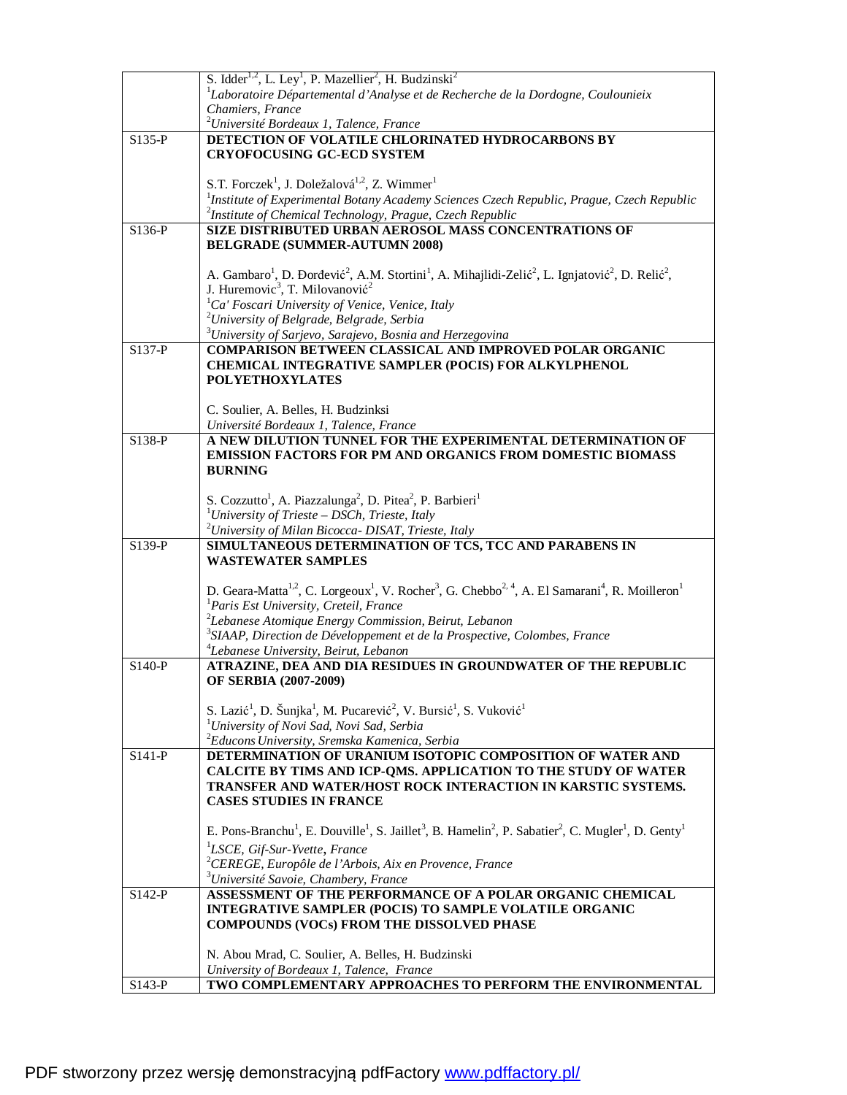|          | S. Idder <sup>1,2</sup> , L. Ley <sup>1</sup> , P. Mazellier <sup>2</sup> , H. Budzinski <sup>2</sup>                                                                                                                               |
|----------|-------------------------------------------------------------------------------------------------------------------------------------------------------------------------------------------------------------------------------------|
|          | ${}^{1}$ Laboratoire Départemental d'Analyse et de Recherche de la Dordogne, Coulounieix                                                                                                                                            |
|          | Chamiers, France                                                                                                                                                                                                                    |
|          | <sup>2</sup> Université Bordeaux 1, Talence, France                                                                                                                                                                                 |
| $S135-P$ | DETECTION OF VOLATILE CHLORINATED HYDROCARBONS BY                                                                                                                                                                                   |
|          | <b>CRYOFOCUSING GC-ECD SYSTEM</b>                                                                                                                                                                                                   |
|          |                                                                                                                                                                                                                                     |
|          | S.T. Forczek <sup>1</sup> , J. Doležalová <sup>1,2</sup> , Z. Wimmer <sup>1</sup>                                                                                                                                                   |
|          | <sup>1</sup> Institute of Experimental Botany Academy Sciences Czech Republic, Prague, Czech Republic                                                                                                                               |
|          | <sup>2</sup> Institute of Chemical Technology, Prague, Czech Republic                                                                                                                                                               |
| S136-P   | SIZE DISTRIBUTED URBAN AEROSOL MASS CONCENTRATIONS OF                                                                                                                                                                               |
|          | <b>BELGRADE (SUMMER-AUTUMN 2008)</b>                                                                                                                                                                                                |
|          |                                                                                                                                                                                                                                     |
|          | A. Gambaro <sup>1</sup> , D. Đorđević <sup>2</sup> , A.M. Stortini <sup>1</sup> , A. Mihajlidi-Zelić <sup>2</sup> , L. Ignjatović <sup>2</sup> , D. Relić <sup>2</sup> ,<br>J. Huremovic <sup>3</sup> , T. Milovanović <sup>2</sup> |
|          |                                                                                                                                                                                                                                     |
|          | ${}^{1}Ca'$ Foscari University of Venice, Venice, Italy                                                                                                                                                                             |
|          | <sup>2</sup> University of Belgrade, Belgrade, Serbia                                                                                                                                                                               |
|          | <sup>3</sup> University of Sarjevo, Sarajevo, Bosnia and Herzegovina                                                                                                                                                                |
| S137-P   | <b>COMPARISON BETWEEN CLASSICAL AND IMPROVED POLAR ORGANIC</b>                                                                                                                                                                      |
|          | <b>CHEMICAL INTEGRATIVE SAMPLER (POCIS) FOR ALKYLPHENOL</b>                                                                                                                                                                         |
|          | <b>POLYETHOXYLATES</b>                                                                                                                                                                                                              |
|          | C. Soulier, A. Belles, H. Budzinksi                                                                                                                                                                                                 |
|          | Université Bordeaux 1, Talence, France                                                                                                                                                                                              |
| S138-P   | A NEW DILUTION TUNNEL FOR THE EXPERIMENTAL DETERMINATION OF                                                                                                                                                                         |
|          | <b>EMISSION FACTORS FOR PM AND ORGANICS FROM DOMESTIC BIOMASS</b>                                                                                                                                                                   |
|          | <b>BURNING</b>                                                                                                                                                                                                                      |
|          |                                                                                                                                                                                                                                     |
|          | S. Cozzutto <sup>1</sup> , A. Piazzalunga <sup>2</sup> , D. Pitea <sup>2</sup> , P. Barbieri <sup>1</sup>                                                                                                                           |
|          | <sup>1</sup> University of Trieste – DSCh, Trieste, Italy                                                                                                                                                                           |
|          | <sup>2</sup> University of Milan Bicocca- DISAT, Trieste, Italy                                                                                                                                                                     |
| S139-P   | SIMULTANEOUS DETERMINATION OF TCS, TCC AND PARABENS IN                                                                                                                                                                              |
|          | <b>WASTEWATER SAMPLES</b>                                                                                                                                                                                                           |
|          |                                                                                                                                                                                                                                     |
|          | D. Geara-Matta <sup>1,2</sup> , C. Lorgeoux <sup>1</sup> , V. Rocher <sup>3</sup> , G. Chebbo <sup>2, 4</sup> , A. El Samarani <sup>4</sup> , R. Moilleron <sup>1</sup>                                                             |
|          | <sup>1</sup> Paris Est University, Creteil, France                                                                                                                                                                                  |
|          | $2$ Lebanese Atomique Energy Commission, Beirut, Lebanon                                                                                                                                                                            |
|          | $3$ SIAAP, Direction de Développement et de la Prospective, Colombes, France                                                                                                                                                        |
|          | <sup>4</sup> Lebanese University, Beirut, Lebanon                                                                                                                                                                                   |
| S140-P   | ATRAZINE, DEA AND DIA RESIDUES IN GROUNDWATER OF THE REPUBLIC                                                                                                                                                                       |
|          | OF SERBIA (2007-2009)                                                                                                                                                                                                               |
|          |                                                                                                                                                                                                                                     |
|          | S. Lazić <sup>1</sup> , D. Šunjka <sup>1</sup> , M. Pucarević <sup>2</sup> , V. Bursić <sup>1</sup> , S. Vuković <sup>1</sup>                                                                                                       |
|          | <sup>1</sup> University of Novi Sad, Novi Sad, Serbia                                                                                                                                                                               |
| $S141-P$ | <sup>2</sup> Educons University, Sremska Kamenica, Serbia<br>DETERMINATION OF URANIUM ISOTOPIC COMPOSITION OF WATER AND                                                                                                             |
|          | CALCITE BY TIMS AND ICP-QMS. APPLICATION TO THE STUDY OF WATER                                                                                                                                                                      |
|          | TRANSFER AND WATER/HOST ROCK INTERACTION IN KARSTIC SYSTEMS.                                                                                                                                                                        |
|          | <b>CASES STUDIES IN FRANCE</b>                                                                                                                                                                                                      |
|          |                                                                                                                                                                                                                                     |
|          | E. Pons-Branchu <sup>1</sup> , E. Douville <sup>1</sup> , S. Jaillet <sup>3</sup> , B. Hamelin <sup>2</sup> , P. Sabatier <sup>2</sup> , C. Mugler <sup>1</sup> , D. Genty <sup>1</sup>                                             |
|          | <sup>1</sup> LSCE, Gif-Sur-Yvette, France                                                                                                                                                                                           |
|          | ${}^{2}$ CEREGE, Europôle de l'Arbois, Aix en Provence, France                                                                                                                                                                      |
|          | <sup>3</sup> Université Savoie, Chambery, France                                                                                                                                                                                    |
| $S142-P$ | ASSESSMENT OF THE PERFORMANCE OF A POLAR ORGANIC CHEMICAL                                                                                                                                                                           |
|          |                                                                                                                                                                                                                                     |
|          |                                                                                                                                                                                                                                     |
|          | INTEGRATIVE SAMPLER (POCIS) TO SAMPLE VOLATILE ORGANIC                                                                                                                                                                              |
|          | <b>COMPOUNDS (VOCs) FROM THE DISSOLVED PHASE</b>                                                                                                                                                                                    |
|          | N. Abou Mrad, C. Soulier, A. Belles, H. Budzinski                                                                                                                                                                                   |
|          | University of Bordeaux 1, Talence, France                                                                                                                                                                                           |
| $S143-P$ | TWO COMPLEMENTARY APPROACHES TO PERFORM THE ENVIRONMENTAL                                                                                                                                                                           |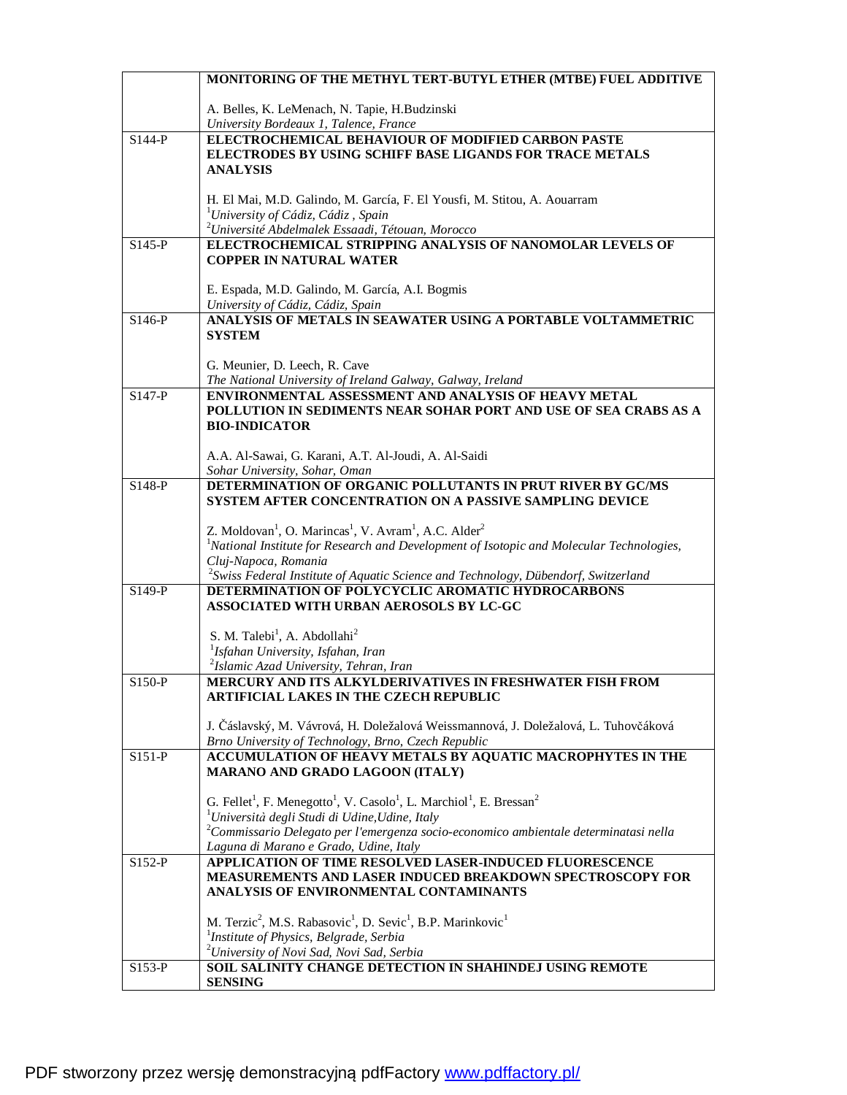|          | MONITORING OF THE METHYL TERT-BUTYL ETHER (MTBE) FUEL ADDITIVE                                                                             |
|----------|--------------------------------------------------------------------------------------------------------------------------------------------|
|          |                                                                                                                                            |
|          | A. Belles, K. LeMenach, N. Tapie, H.Budzinski                                                                                              |
| S144-P   | University Bordeaux 1, Talence, France<br>ELECTROCHEMICAL BEHAVIOUR OF MODIFIED CARBON PASTE                                               |
|          | <b>ELECTRODES BY USING SCHIFF BASE LIGANDS FOR TRACE METALS</b>                                                                            |
|          | <b>ANALYSIS</b>                                                                                                                            |
|          |                                                                                                                                            |
|          | H. El Mai, M.D. Galindo, M. García, F. El Yousfi, M. Stitou, A. Aouarram                                                                   |
|          | <sup>1</sup> University of Cádiz, Cádiz, Spain                                                                                             |
|          | $^{2}$ Université Abdelmalek Essaadi, Tétouan, Morocco                                                                                     |
| $S145-P$ | ELECTROCHEMICAL STRIPPING ANALYSIS OF NANOMOLAR LEVELS OF                                                                                  |
|          | <b>COPPER IN NATURAL WATER</b>                                                                                                             |
|          | E. Espada, M.D. Galindo, M. García, A.I. Bogmis                                                                                            |
|          | University of Cádiz, Cádiz, Spain                                                                                                          |
| $S146-P$ | ANALYSIS OF METALS IN SEAWATER USING A PORTABLE VOLTAMMETRIC                                                                               |
|          | <b>SYSTEM</b>                                                                                                                              |
|          |                                                                                                                                            |
|          | G. Meunier, D. Leech, R. Cave<br>The National University of Ireland Galway, Galway, Ireland                                                |
| S147-P   | ENVIRONMENTAL ASSESSMENT AND ANALYSIS OF HEAVY METAL                                                                                       |
|          | POLLUTION IN SEDIMENTS NEAR SOHAR PORT AND USE OF SEA CRABS AS A                                                                           |
|          | <b>BIO-INDICATOR</b>                                                                                                                       |
|          |                                                                                                                                            |
|          | A.A. Al-Sawai, G. Karani, A.T. Al-Joudi, A. Al-Saidi                                                                                       |
| S148-P   | Sohar University, Sohar, Oman<br>DETERMINATION OF ORGANIC POLLUTANTS IN PRUT RIVER BY GC/MS                                                |
|          | SYSTEM AFTER CONCENTRATION ON A PASSIVE SAMPLING DEVICE                                                                                    |
|          |                                                                                                                                            |
|          | Z. Moldovan <sup>1</sup> , O. Marincas <sup>1</sup> , V. Avram <sup>1</sup> , A.C. Alder <sup>2</sup>                                      |
|          | <sup>1</sup> National Institute for Research and Development of Isotopic and Molecular Technologies,                                       |
|          | Cluj-Napoca, Romania                                                                                                                       |
| S149-P   | $2$ Swiss Federal Institute of Aquatic Science and Technology, Dübendorf, Switzerland<br>DETERMINATION OF POLYCYCLIC AROMATIC HYDROCARBONS |
|          | ASSOCIATED WITH URBAN AEROSOLS BY LC-GC                                                                                                    |
|          |                                                                                                                                            |
|          | S. M. Talebi <sup>1</sup> , A. Abdollahi <sup>2</sup>                                                                                      |
|          | <sup>1</sup> Isfahan University, Isfahan, Iran                                                                                             |
|          | <sup>2</sup> Islamic Azad University, Tehran, Iran                                                                                         |
| $S150-P$ | MERCURY AND ITS ALKYLDERIVATIVES IN FRESHWATER FISH FROM                                                                                   |
|          | <b>ARTIFICIAL LAKES IN THE CZECH REPUBLIC</b>                                                                                              |
|          | J. Čáslavský, M. Vávrová, H. Doležalová Weissmannová, J. Doležalová, L. Tuhovčáková                                                        |
|          | Brno University of Technology, Brno, Czech Republic                                                                                        |
| $S151-P$ | ACCUMULATION OF HEAVY METALS BY AQUATIC MACROPHYTES IN THE                                                                                 |
|          | MARANO AND GRADO LAGOON (ITALY)                                                                                                            |
|          | G. Fellet <sup>1</sup> , F. Menegotto <sup>1</sup> , V. Casolo <sup>1</sup> , L. Marchiol <sup>1</sup> , E. Bressan <sup>2</sup>           |
|          | <sup>1</sup> Università degli Studi di Udine, Udine, Italy                                                                                 |
|          | $^{2}$ Commissario Delegato per l'emergenza socio-economico ambientale determinatasi nella                                                 |
|          | Laguna di Marano e Grado, Udine, Italy                                                                                                     |
| $S152-P$ | APPLICATION OF TIME RESOLVED LASER-INDUCED FLUORESCENCE                                                                                    |
|          | <b>MEASUREMENTS AND LASER INDUCED BREAKDOWN SPECTROSCOPY FOR</b>                                                                           |
|          | ANALYSIS OF ENVIRONMENTAL CONTAMINANTS                                                                                                     |
|          | M. Terzic <sup>2</sup> , M.S. Rabasovic <sup>1</sup> , D. Sevic <sup>1</sup> , B.P. Marinkovic <sup>1</sup>                                |
|          | <sup>1</sup> Institute of Physics, Belgrade, Serbia                                                                                        |
|          | <sup>2</sup> University of Novi Sad, Novi Sad, Serbia                                                                                      |
| S153-P   | SOIL SALINITY CHANGE DETECTION IN SHAHINDEJ USING REMOTE                                                                                   |
|          | <b>SENSING</b>                                                                                                                             |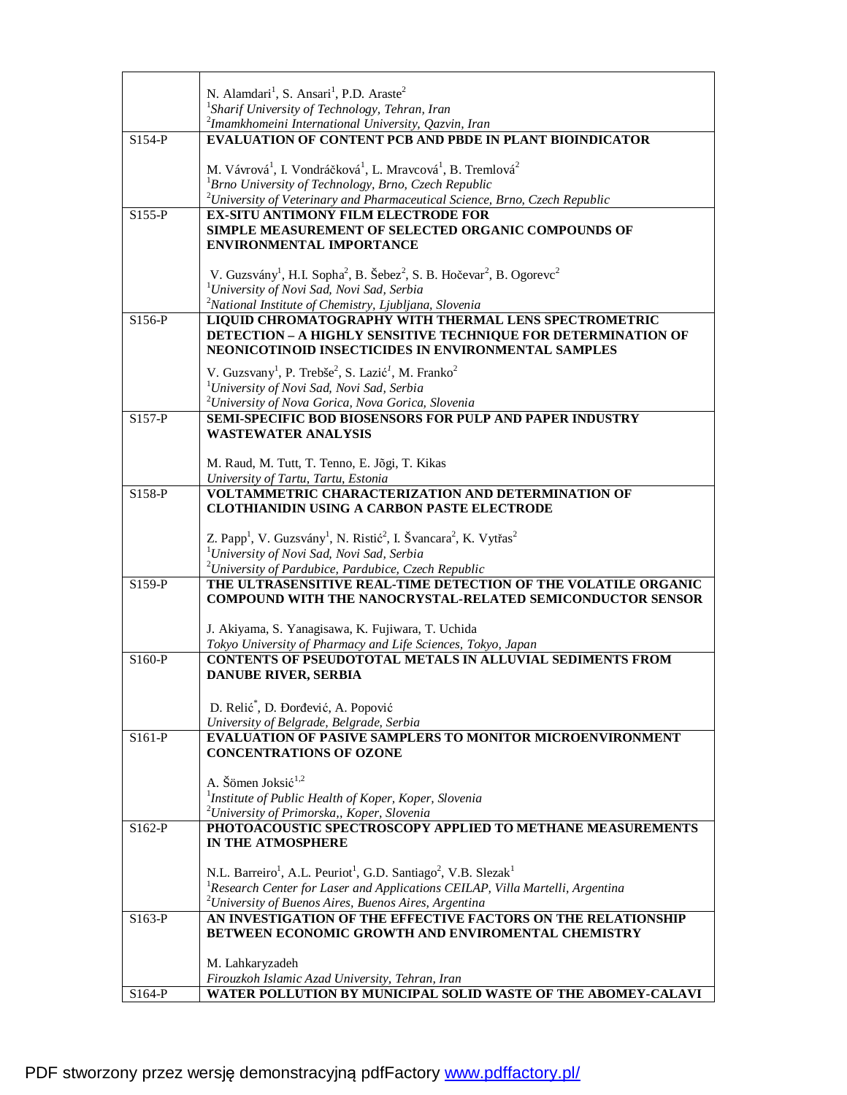|          | N. Alamdari <sup>1</sup> , S. Ansari <sup>1</sup> , P.D. Araste <sup>2</sup>                                                      |
|----------|-----------------------------------------------------------------------------------------------------------------------------------|
|          | <sup>1</sup> Sharif University of Technology, Tehran, Iran<br>$2$ Imamkhomeini International University, Qazvin, Iran             |
| $S154-P$ | <b>EVALUATION OF CONTENT PCB AND PBDE IN PLANT BIOINDICATOR</b>                                                                   |
|          |                                                                                                                                   |
|          | M. Vávrová <sup>1</sup> , I. Vondráčková <sup>1</sup> , L. Mravcová <sup>1</sup> , B. Tremlová <sup>2</sup>                       |
|          | ${}^{1}$ Brno University of Technology, Brno, Czech Republic                                                                      |
|          | $2$ University of Veterinary and Pharmaceutical Science, Brno, Czech Republic                                                     |
| $S155-P$ | <b>EX-SITU ANTIMONY FILM ELECTRODE FOR</b>                                                                                        |
|          | <b>SIMPLE MEASUREMENT OF SELECTED ORGANIC COMPOUNDS OF</b>                                                                        |
|          | <b>ENVIRONMENTAL IMPORTANCE</b>                                                                                                   |
|          |                                                                                                                                   |
|          | V. Guzsvány <sup>1</sup> , H.I. Sopha <sup>2</sup> , B. Šebez <sup>2</sup> , S. B. Hočevar <sup>2</sup> , B. Ogorevc <sup>2</sup> |
|          | <sup>1</sup> University of Novi Sad, Novi Sad, Serbia                                                                             |
|          | <sup>2</sup> National Institute of Chemistry, Ljubljana, Slovenia                                                                 |
| S156-P   | LIQUID CHROMATOGRAPHY WITH THERMAL LENS SPECTROMETRIC                                                                             |
|          | DETECTION - A HIGHLY SENSITIVE TECHNIQUE FOR DETERMINATION OF<br>NEONICOTINOID INSECTICIDES IN ENVIRONMENTAL SAMPLES              |
|          |                                                                                                                                   |
|          | V. Guzsvany <sup>1</sup> , P. Trebše <sup>2</sup> , S. Lazić <sup>1</sup> , M. Franko <sup>2</sup>                                |
|          | <sup>1</sup> University of Novi Sad, Novi Sad, Serbia                                                                             |
|          | <sup>2</sup> University of Nova Gorica, Nova Gorica, Slovenia                                                                     |
| $S157-P$ | SEMI-SPECIFIC BOD BIOSENSORS FOR PULP AND PAPER INDUSTRY                                                                          |
|          | <b>WASTEWATER ANALYSIS</b>                                                                                                        |
|          | M. Raud, M. Tutt, T. Tenno, E. Jõgi, T. Kikas                                                                                     |
|          | University of Tartu, Tartu, Estonia                                                                                               |
| S158-P   | VOLTAMMETRIC CHARACTERIZATION AND DETERMINATION OF                                                                                |
|          | <b>CLOTHIANIDIN USING A CARBON PASTE ELECTRODE</b>                                                                                |
|          |                                                                                                                                   |
|          | Z. Papp <sup>1</sup> , V. Guzsvány <sup>1</sup> , N. Ristić <sup>2</sup> , I. Švancara <sup>2</sup> , K. Vytřas <sup>2</sup>      |
|          | <sup>1</sup> University of Novi Sad, Novi Sad, Serbia                                                                             |
|          | <sup>2</sup> University of Pardubice, Pardubice, Czech Republic                                                                   |
| $S159-P$ | THE ULTRASENSITIVE REAL-TIME DETECTION OF THE VOLATILE ORGANIC                                                                    |
|          | <b>COMPOUND WITH THE NANOCRYSTAL-RELATED SEMICONDUCTOR SENSOR</b>                                                                 |
|          |                                                                                                                                   |
|          | J. Akiyama, S. Yanagisawa, K. Fujiwara, T. Uchida<br>Tokyo University of Pharmacy and Life Sciences, Tokyo, Japan                 |
| S160-P   | <b>CONTENTS OF PSEUDOTOTAL METALS IN ALLUVIAL SEDIMENTS FROM</b>                                                                  |
|          | <b>DANUBE RIVER, SERBIA</b>                                                                                                       |
|          |                                                                                                                                   |
|          | D. Relić <sup>*</sup> , D. Đorđević, A. Popović                                                                                   |
|          | University of Belgrade, Belgrade, Serbia                                                                                          |
| $S161-P$ | <b>EVALUATION OF PASIVE SAMPLERS TO MONITOR MICROENVIRONMENT</b>                                                                  |
|          | <b>CONCENTRATIONS OF OZONE</b>                                                                                                    |
|          |                                                                                                                                   |
|          | A. Šömen Joksić <sup>1,2</sup>                                                                                                    |
|          | <sup>1</sup> Institute of Public Health of Koper, Koper, Slovenia                                                                 |
|          | <sup>2</sup> University of Primorska,, Koper, Slovenia                                                                            |
| $S162-P$ | PHOTOACOUSTIC SPECTROSCOPY APPLIED TO METHANE MEASUREMENTS                                                                        |
|          | IN THE ATMOSPHERE                                                                                                                 |
|          | N.L. Barreiro <sup>1</sup> , A.L. Peuriot <sup>1</sup> , G.D. Santiago <sup>2</sup> , V.B. Slezak <sup>1</sup>                    |
|          | <sup>1</sup> Research Center for Laser and Applications CEILAP, Villa Martelli, Argentina                                         |
|          | $2$ University of Buenos Aires, Buenos Aires, Argentina                                                                           |
| $S163-P$ | AN INVESTIGATION OF THE EFFECTIVE FACTORS ON THE RELATIONSHIP                                                                     |
|          | BETWEEN ECONOMIC GROWTH AND ENVIROMENTAL CHEMISTRY                                                                                |
|          |                                                                                                                                   |
|          | M. Lahkaryzadeh                                                                                                                   |
|          | Firouzkoh Islamic Azad University, Tehran, Iran                                                                                   |
| S164-P   | WATER POLLUTION BY MUNICIPAL SOLID WASTE OF THE ABOMEY-CALAVI                                                                     |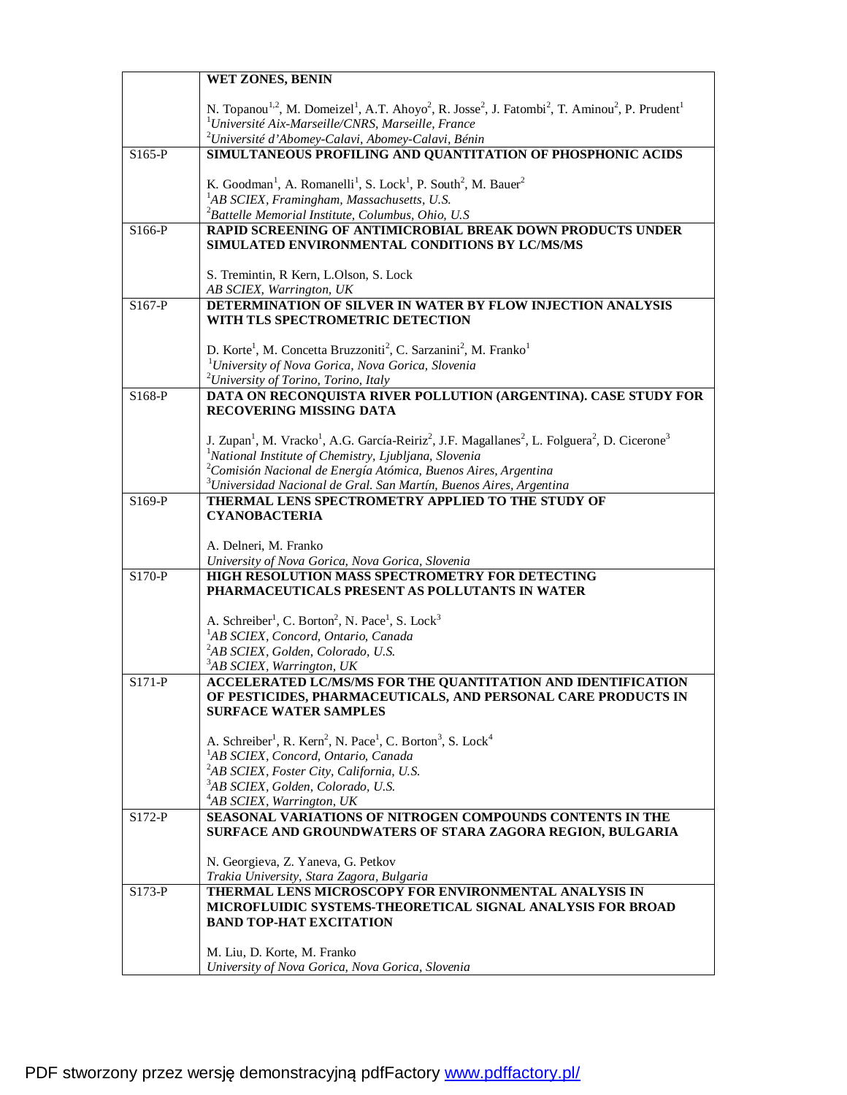|          | WET ZONES, BENIN                                                                                                                                                                    |
|----------|-------------------------------------------------------------------------------------------------------------------------------------------------------------------------------------|
|          |                                                                                                                                                                                     |
|          | N. Topanou <sup>1,2</sup> , M. Domeizel <sup>1</sup> , A.T. Ahoyo <sup>2</sup> , R. Josse <sup>2</sup> , J. Fatombi <sup>2</sup> , T. Aminou <sup>2</sup> , P. Prudent <sup>1</sup> |
|          | $1$ Université Aix-Marseille/CNRS, Marseille, France<br><sup>2</sup> Université d'Abomey-Calavi, Abomey-Calavi, Bénin                                                               |
| $S165-P$ | SIMULTANEOUS PROFILING AND QUANTITATION OF PHOSPHONIC ACIDS                                                                                                                         |
|          |                                                                                                                                                                                     |
|          | K. Goodman <sup>1</sup> , A. Romanelli <sup>1</sup> , S. Lock <sup>1</sup> , P. South <sup>2</sup> , M. Bauer <sup>2</sup>                                                          |
|          | <sup>1</sup> AB SCIEX, Framingham, Massachusetts, U.S.                                                                                                                              |
|          | ${}^{2}$ Battelle Memorial Institute, Columbus, Ohio, U.S                                                                                                                           |
| S166-P   | RAPID SCREENING OF ANTIMICROBIAL BREAK DOWN PRODUCTS UNDER                                                                                                                          |
|          | SIMULATED ENVIRONMENTAL CONDITIONS BY LC/MS/MS                                                                                                                                      |
|          |                                                                                                                                                                                     |
|          | S. Tremintin, R Kern, L.Olson, S. Lock                                                                                                                                              |
| S167-P   | AB SCIEX, Warrington, UK<br>DETERMINATION OF SILVER IN WATER BY FLOW INJECTION ANALYSIS                                                                                             |
|          | WITH TLS SPECTROMETRIC DETECTION                                                                                                                                                    |
|          |                                                                                                                                                                                     |
|          | D. Korte <sup>1</sup> , M. Concetta Bruzzoniti <sup>2</sup> , C. Sarzanini <sup>2</sup> , M. Franko <sup>1</sup>                                                                    |
|          | <sup>1</sup> University of Nova Gorica, Nova Gorica, Slovenia                                                                                                                       |
|          | <sup>2</sup> University of Torino, Torino, Italy                                                                                                                                    |
| S168-P   | DATA ON RECONQUISTA RIVER POLLUTION (ARGENTINA). CASE STUDY FOR                                                                                                                     |
|          | RECOVERING MISSING DATA                                                                                                                                                             |
|          | J. Zupan <sup>1</sup> , M. Vracko <sup>1</sup> , A.G. García-Reiriz <sup>2</sup> , J.F. Magallanes <sup>2</sup> , L. Folguera <sup>2</sup> , D. Cicerone <sup>3</sup>               |
|          | <sup>1</sup> National Institute of Chemistry, Ljubljana, Slovenia                                                                                                                   |
|          | $2^2$ Comisión Nacional de Energía Atómica, Buenos Aires, Argentina                                                                                                                 |
|          | <sup>3</sup> Universidad Nacional de Gral. San Martín, Buenos Aires, Argentina                                                                                                      |
| S169-P   | THERMAL LENS SPECTROMETRY APPLIED TO THE STUDY OF                                                                                                                                   |
|          | <b>CYANOBACTERIA</b>                                                                                                                                                                |
|          |                                                                                                                                                                                     |
|          | A. Delneri, M. Franko                                                                                                                                                               |
| S170-P   | University of Nova Gorica, Nova Gorica, Slovenia<br>HIGH RESOLUTION MASS SPECTROMETRY FOR DETECTING                                                                                 |
|          | PHARMACEUTICALS PRESENT AS POLLUTANTS IN WATER                                                                                                                                      |
|          |                                                                                                                                                                                     |
|          | A. Schreiber <sup>1</sup> , C. Borton <sup>2</sup> , N. Pace <sup>1</sup> , S. Lock <sup>3</sup>                                                                                    |
|          | <sup>1</sup> AB SCIEX, Concord, Ontario, Canada                                                                                                                                     |
|          | <sup>2</sup> AB SCIEX, Golden, Colorado, U.S.                                                                                                                                       |
|          | <sup>3</sup> AB SCIEX, Warrington, UK                                                                                                                                               |
| S171-P   | ACCELERATED LC/MS/MS FOR THE QUANTITATION AND IDENTIFICATION<br>OF PESTICIDES, PHARMACEUTICALS, AND PERSONAL CARE PRODUCTS IN                                                       |
|          | <b>SURFACE WATER SAMPLES</b>                                                                                                                                                        |
|          |                                                                                                                                                                                     |
|          | A. Schreiber <sup>1</sup> , R. Kern <sup>2</sup> , N. Pace <sup>1</sup> , C. Borton <sup>3</sup> , S. Lock <sup>4</sup>                                                             |
|          | <sup>1</sup> AB SCIEX, Concord, Ontario, Canada                                                                                                                                     |
|          | <sup>2</sup> AB SCIEX, Foster City, California, U.S.                                                                                                                                |
|          | <sup>3</sup> AB SCIEX, Golden, Colorado, U.S.                                                                                                                                       |
|          | <sup>4</sup> AB SCIEX, Warrington, UK<br>SEASONAL VARIATIONS OF NITROGEN COMPOUNDS CONTENTS IN THE                                                                                  |
| $S172-P$ | SURFACE AND GROUNDWATERS OF STARA ZAGORA REGION, BULGARIA                                                                                                                           |
|          |                                                                                                                                                                                     |
|          | N. Georgieva, Z. Yaneva, G. Petkov                                                                                                                                                  |
|          | Trakia University, Stara Zagora, Bulgaria                                                                                                                                           |
| $S173-P$ | THERMAL LENS MICROSCOPY FOR ENVIRONMENTAL ANALYSIS IN                                                                                                                               |
|          | MICROFLUIDIC SYSTEMS-THEORETICAL SIGNAL ANALYSIS FOR BROAD                                                                                                                          |
|          | <b>BAND TOP-HAT EXCITATION</b>                                                                                                                                                      |
|          | M. Liu, D. Korte, M. Franko                                                                                                                                                         |
|          | University of Nova Gorica, Nova Gorica, Slovenia                                                                                                                                    |
|          |                                                                                                                                                                                     |